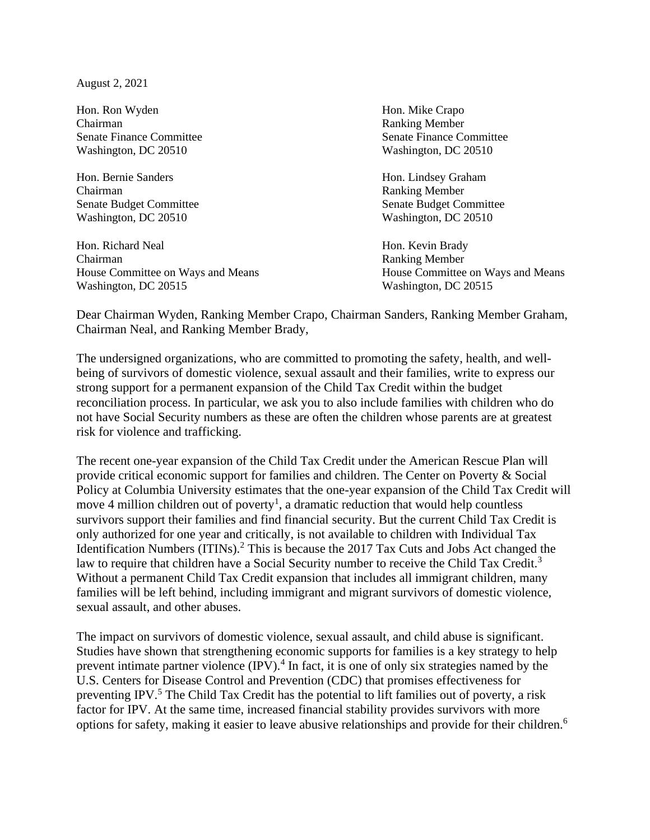August 2, 2021

Hon. Ron Wyden Hon. Mike Crapo Chairman Ranking Member Washington, DC 20510 Washington, DC 20510

Hon. Bernie Sanders Hon. Lindsey Graham Chairman Ranking Member Washington, DC 20510 Washington, DC 20510

Hon. Richard Neal Hon. Kevin Brady Chairman Ranking Member Washington, DC 20515 Washington, DC 20515

Senate Finance Committee Senate Finance Committee

Senate Budget Committee Senate Budget Committee Senate Budget Committee Senate Budget Committee

House Committee on Ways and Means House Committee on Ways and Means

Dear Chairman Wyden, Ranking Member Crapo, Chairman Sanders, Ranking Member Graham, Chairman Neal, and Ranking Member Brady,

The undersigned organizations, who are committed to promoting the safety, health, and wellbeing of survivors of domestic violence, sexual assault and their families, write to express our strong support for a permanent expansion of the Child Tax Credit within the budget reconciliation process. In particular, we ask you to also include families with children who do not have Social Security numbers as these are often the children whose parents are at greatest risk for violence and trafficking.

The recent one-year expansion of the Child Tax Credit under the American Rescue Plan will provide critical economic support for families and children. The Center on Poverty & Social Policy at Columbia University estimates that the one-year expansion of the Child Tax Credit will move 4 million children out of poverty<sup>1</sup>, a dramatic reduction that would help countless survivors support their families and find financial security. But the current Child Tax Credit is only authorized for one year and critically, is not available to children with Individual Tax Identification Numbers (ITINs).<sup>2</sup> This is because the 2017 Tax Cuts and Jobs Act changed the law to require that children have a Social Security number to receive the Child Tax Credit.<sup>3</sup> Without a permanent Child Tax Credit expansion that includes all immigrant children, many families will be left behind, including immigrant and migrant survivors of domestic violence, sexual assault, and other abuses.

The impact on survivors of domestic violence, sexual assault, and child abuse is significant. Studies have shown that strengthening economic supports for families is a key strategy to help prevent intimate partner violence  $(IPV)$ .<sup>4</sup> In fact, it is one of only six strategies named by the U.S. Centers for Disease Control and Prevention (CDC) that promises effectiveness for preventing IPV.<sup>5</sup> The Child Tax Credit has the potential to lift families out of poverty, a risk factor for IPV. At the same time, increased financial stability provides survivors with more options for safety, making it easier to leave abusive relationships and provide for their children.<sup>6</sup>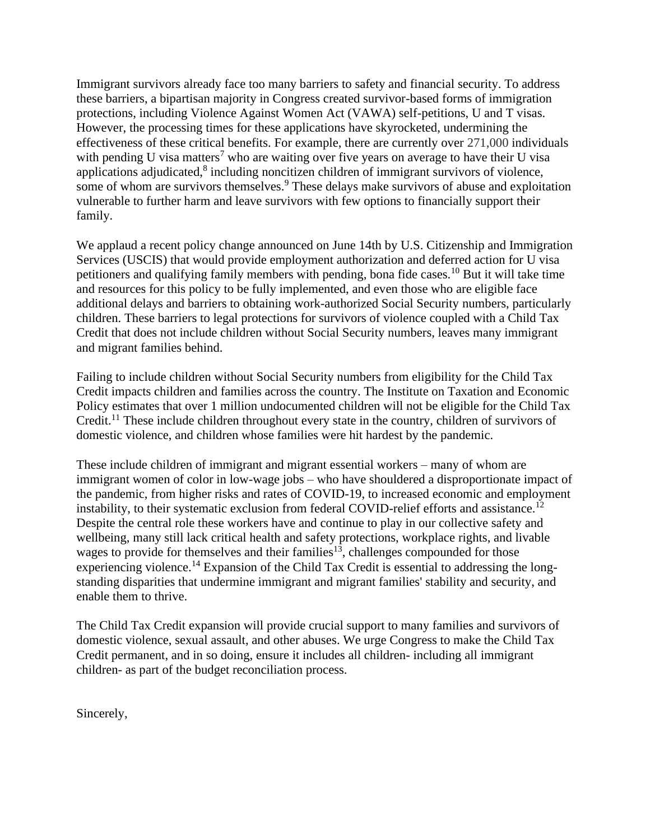Immigrant survivors already face too many barriers to safety and financial security. To address these barriers, a bipartisan majority in Congress created survivor-based forms of immigration protections, including Violence Against Women Act (VAWA) self-petitions, U and T visas. However, the processing times for these applications have skyrocketed, undermining the effectiveness of these critical benefits. For example, there are currently over 271,000 individuals with pending U visa matters<sup>7</sup> who are waiting over five years on average to have their U visa applications adjudicated, ${}^{8}$  including noncitizen children of immigrant survivors of violence, some of whom are survivors themselves.<sup>9</sup> These delays make survivors of abuse and exploitation vulnerable to further harm and leave survivors with few options to financially support their family.

We applaud a recent policy change announced on June 14th by U.S. Citizenship and Immigration Services (USCIS) that would provide employment authorization and deferred action for U visa petitioners and qualifying family members with pending, bona fide cases.<sup>10</sup> But it will take time and resources for this policy to be fully implemented, and even those who are eligible face additional delays and barriers to obtaining work-authorized Social Security numbers, particularly children. These barriers to legal protections for survivors of violence coupled with a Child Tax Credit that does not include children without Social Security numbers, leaves many immigrant and migrant families behind.

Failing to include children without Social Security numbers from eligibility for the Child Tax Credit impacts children and families across the country. The Institute on Taxation and Economic Policy estimates that over 1 million undocumented children will not be eligible for the Child Tax Credit.<sup>11</sup> These include children throughout every state in the country, children of survivors of domestic violence, and children whose families were hit hardest by the pandemic.

These include children of immigrant and migrant essential workers – many of whom are immigrant women of color in low-wage jobs – who have shouldered a disproportionate impact of the pandemic, from higher risks and rates of COVID-19, to increased economic and employment instability, to their systematic exclusion from federal COVID-relief efforts and assistance.<sup>12</sup> Despite the central role these workers have and continue to play in our collective safety and wellbeing, many still lack critical health and safety protections, workplace rights, and livable wages to provide for themselves and their families<sup>13</sup>, challenges compounded for those experiencing violence.<sup>14</sup> Expansion of the Child Tax Credit is essential to addressing the longstanding disparities that undermine immigrant and migrant families' stability and security, and enable them to thrive.

The Child Tax Credit expansion will provide crucial support to many families and survivors of domestic violence, sexual assault, and other abuses. We urge Congress to make the Child Tax Credit permanent, and in so doing, ensure it includes all children- including all immigrant children- as part of the budget reconciliation process.

Sincerely,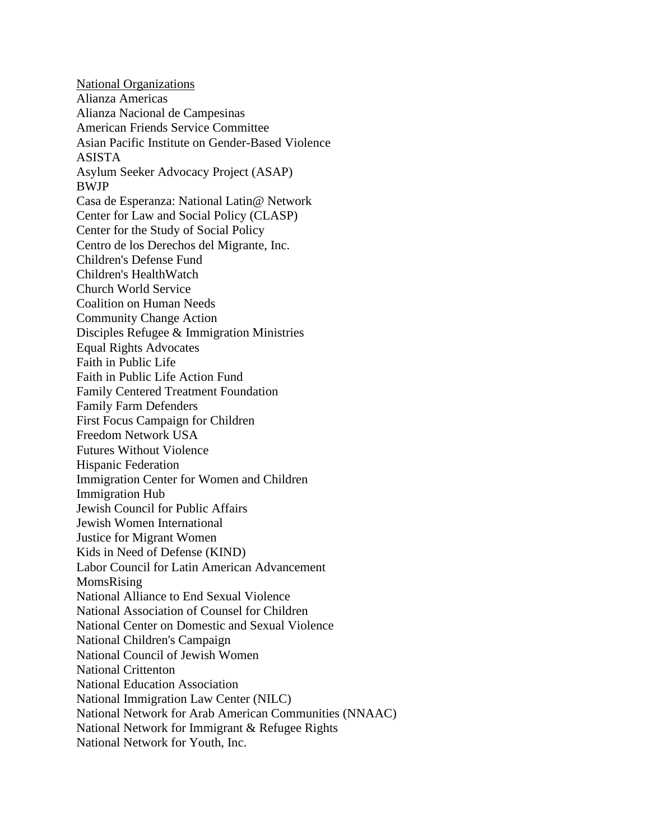National Organizations Alianza Americas Alianza Nacional de Campesinas American Friends Service Committee Asian Pacific Institute on Gender-Based Violence ASISTA Asylum Seeker Advocacy Project (ASAP) BWJP Casa de Esperanza: National Latin@ Network Center for Law and Social Policy (CLASP) Center for the Study of Social Policy Centro de los Derechos del Migrante, Inc. Children's Defense Fund Children's HealthWatch Church World Service Coalition on Human Needs Community Change Action Disciples Refugee & Immigration Ministries Equal Rights Advocates Faith in Public Life Faith in Public Life Action Fund Family Centered Treatment Foundation Family Farm Defenders First Focus Campaign for Children Freedom Network USA Futures Without Violence Hispanic Federation Immigration Center for Women and Children Immigration Hub Jewish Council for Public Affairs Jewish Women International Justice for Migrant Women Kids in Need of Defense (KIND) Labor Council for Latin American Advancement MomsRising National Alliance to End Sexual Violence National Association of Counsel for Children National Center on Domestic and Sexual Violence National Children's Campaign National Council of Jewish Women National Crittenton National Education Association National Immigration Law Center (NILC) National Network for Arab American Communities (NNAAC) National Network for Immigrant & Refugee Rights National Network for Youth, Inc.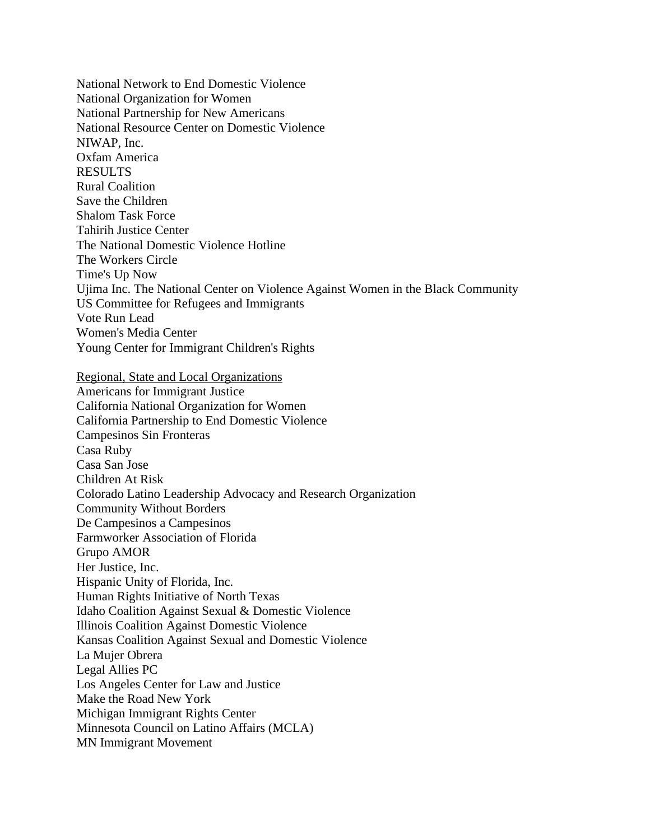National Network to End Domestic Violence National Organization for Women National Partnership for New Americans National Resource Center on Domestic Violence NIWAP, Inc. Oxfam America RESULTS Rural Coalition Save the Children Shalom Task Force Tahirih Justice Center The National Domestic Violence Hotline The Workers Circle Time's Up Now Ujima Inc. The National Center on Violence Against Women in the Black Community US Committee for Refugees and Immigrants Vote Run Lead Women's Media Center Young Center for Immigrant Children's Rights Regional, State and Local Organizations Americans for Immigrant Justice California National Organization for Women California Partnership to End Domestic Violence Campesinos Sin Fronteras Casa Ruby Casa San Jose Children At Risk Colorado Latino Leadership Advocacy and Research Organization Community Without Borders De Campesinos a Campesinos Farmworker Association of Florida Grupo AMOR Her Justice, Inc. Hispanic Unity of Florida, Inc. Human Rights Initiative of North Texas Idaho Coalition Against Sexual & Domestic Violence Illinois Coalition Against Domestic Violence

Kansas Coalition Against Sexual and Domestic Violence

La Mujer Obrera Legal Allies PC

Los Angeles Center for Law and Justice

Make the Road New York

Michigan Immigrant Rights Center

Minnesota Council on Latino Affairs (MCLA)

MN Immigrant Movement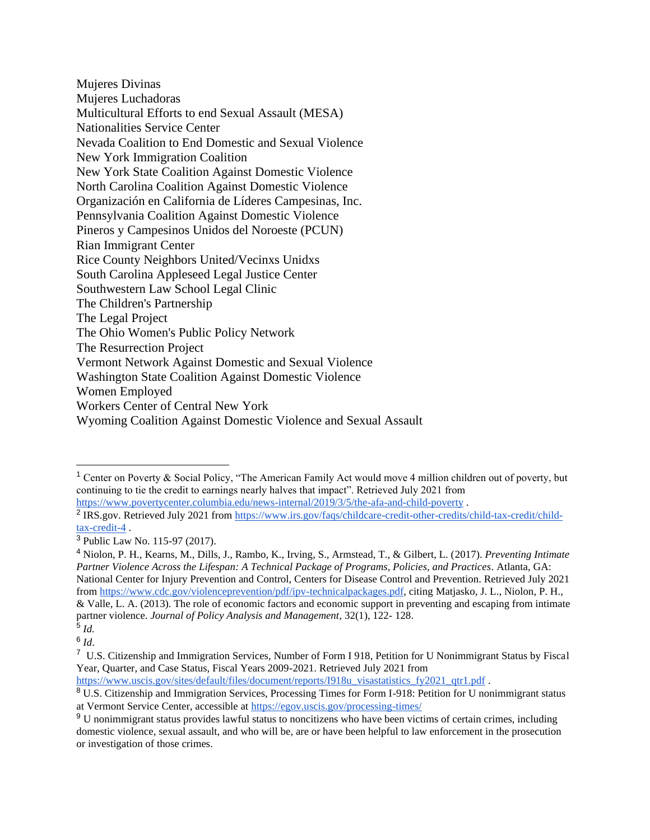Mujeres Divinas Mujeres Luchadoras Multicultural Efforts to end Sexual Assault (MESA) Nationalities Service Center Nevada Coalition to End Domestic and Sexual Violence New York Immigration Coalition New York State Coalition Against Domestic Violence North Carolina Coalition Against Domestic Violence Organización en California de Líderes Campesinas, Inc. Pennsylvania Coalition Against Domestic Violence Pineros y Campesinos Unidos del Noroeste (PCUN) Rian Immigrant Center Rice County Neighbors United/Vecinxs Unidxs South Carolina Appleseed Legal Justice Center Southwestern Law School Legal Clinic The Children's Partnership The Legal Project The Ohio Women's Public Policy Network The Resurrection Project Vermont Network Against Domestic and Sexual Violence Washington State Coalition Against Domestic Violence Women Employed Workers Center of Central New York Wyoming Coalition Against Domestic Violence and Sexual Assault

<sup>1</sup> Center on Poverty & Social Policy, "The American Family Act would move 4 million children out of poverty, but continuing to tie the credit to earnings nearly halves that impact". Retrieved July 2021 from <https://www.povertycenter.columbia.edu/news-internal/2019/3/5/the-afa-and-child-poverty> .

<sup>&</sup>lt;sup>2</sup> IRS.gov. Retrieved July 2021 from [https://www.irs.gov/faqs/childcare-credit-other-credits/child-tax-credit/child](https://www.irs.gov/faqs/childcare-credit-other-credits/child-tax-credit/child-tax-credit-4)[tax-credit-4](https://www.irs.gov/faqs/childcare-credit-other-credits/child-tax-credit/child-tax-credit-4) .

<sup>3</sup> Public Law No. 115-97 (2017).

<sup>4</sup> Niolon, P. H., Kearns, M., Dills, J., Rambo, K., Irving, S., Armstead, T., & Gilbert, L. (2017). *Preventing Intimate Partner Violence Across the Lifespan: A Technical Package of Programs, Policies, and Practices*. Atlanta, GA: National Center for Injury Prevention and Control, Centers for Disease Control and Prevention. Retrieved July 2021 from [https://www.cdc.gov/violenceprevention/pdf/ipv-technicalpackages.pdf,](https://www.cdc.gov/violenceprevention/pdf/ipv-technicalpackages.pdf) citing Matjasko, J. L., Niolon, P. H., & Valle, L. A. (2013). The role of economic factors and economic support in preventing and escaping from intimate partner violence. *Journal of Policy Analysis and Management*, 32(1), 122- 128. 5 *Id.*

<sup>6</sup> *Id*.

<sup>&</sup>lt;sup>7</sup> U.S. Citizenship and Immigration Services, Number of Form I 918, Petition for U Nonimmigrant Status by Fiscal Year, Quarter, and Case Status, Fiscal Years 2009-2021. Retrieved July 2021 from

[https://www.uscis.gov/sites/default/files/document/reports/I918u\\_visastatistics\\_fy2021\\_qtr1.pdf](https://www.uscis.gov/sites/default/files/document/reports/I918u_visastatistics_fy2021_qtr1.pdf) .

<sup>&</sup>lt;sup>8</sup> U.S. Citizenship and Immigration Services, Processing Times for Form I-918: Petition for U nonimmigrant status at Vermont Service Center, accessible a[t https://egov.uscis.gov/processing-times/](https://egov.uscis.gov/processing-times/)

<sup>9</sup> U nonimmigrant status provides lawful status to noncitizens who have been victims of certain crimes, including domestic violence, sexual assault, and who will be, are or have been helpful to law enforcement in the prosecution or investigation of those crimes.